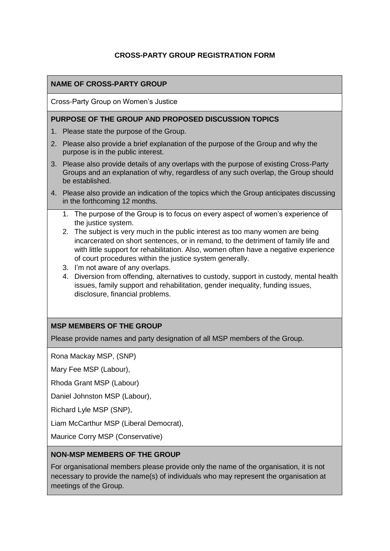## **CROSS-PARTY GROUP REGISTRATION FORM**

### **NAME OF CROSS-PARTY GROUP**

Cross-Party Group on Women's Justice

#### **PURPOSE OF THE GROUP AND PROPOSED DISCUSSION TOPICS**

- 1. Please state the purpose of the Group.
- 2. Please also provide a brief explanation of the purpose of the Group and why the purpose is in the public interest.
- 3. Please also provide details of any overlaps with the purpose of existing Cross-Party Groups and an explanation of why, regardless of any such overlap, the Group should be established.
- 4. Please also provide an indication of the topics which the Group anticipates discussing in the forthcoming 12 months.
	- 1. The purpose of the Group is to focus on every aspect of women's experience of the justice system.
	- 2. The subject is very much in the public interest as too many women are being incarcerated on short sentences, or in remand, to the detriment of family life and with little support for rehabilitation. Also, women often have a negative experience of court procedures within the justice system generally.
	- 3. I'm not aware of any overlaps.
	- 4. Diversion from offending, alternatives to custody, support in custody, mental health issues, family support and rehabilitation, gender inequality, funding issues, disclosure, financial problems.

### **MSP MEMBERS OF THE GROUP**

Please provide names and party designation of all MSP members of the Group.

Rona Mackay MSP, (SNP)

Mary Fee MSP (Labour),

Rhoda Grant MSP (Labour)

Daniel Johnston MSP (Labour),

Richard Lyle MSP (SNP),

Liam McCarthur MSP (Liberal Democrat),

Maurice Corry MSP (Conservative)

#### **NON-MSP MEMBERS OF THE GROUP**

For organisational members please provide only the name of the organisation, it is not necessary to provide the name(s) of individuals who may represent the organisation at meetings of the Group.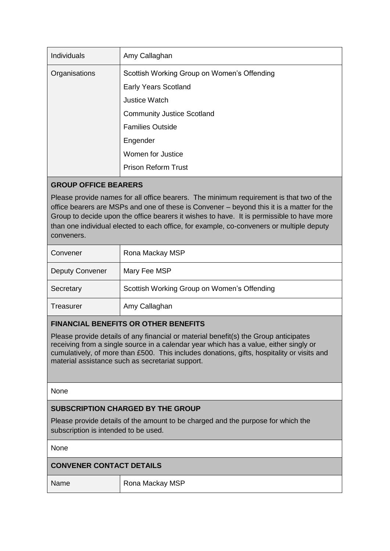| Individuals   | Amy Callaghan                               |
|---------------|---------------------------------------------|
| Organisations | Scottish Working Group on Women's Offending |
|               | <b>Early Years Scotland</b>                 |
|               | Justice Watch                               |
|               | <b>Community Justice Scotland</b>           |
|               | <b>Families Outside</b>                     |
|               | Engender                                    |
|               | Women for Justice                           |
|               | <b>Prison Reform Trust</b>                  |

# **GROUP OFFICE BEARERS**

Please provide names for all office bearers. The minimum requirement is that two of the office bearers are MSPs and one of these is Convener – beyond this it is a matter for the Group to decide upon the office bearers it wishes to have. It is permissible to have more than one individual elected to each office, for example, co-conveners or multiple deputy conveners.

| Convener               | Rona Mackay MSP                             |
|------------------------|---------------------------------------------|
| <b>Deputy Convener</b> | Mary Fee MSP                                |
| Secretary              | Scottish Working Group on Women's Offending |
| Treasurer              | Amy Callaghan                               |

## **FINANCIAL BENEFITS OR OTHER BENEFITS**

Please provide details of any financial or material benefit(s) the Group anticipates receiving from a single source in a calendar year which has a value, either singly or cumulatively, of more than £500. This includes donations, gifts, hospitality or visits and material assistance such as secretariat support.

None

### **SUBSCRIPTION CHARGED BY THE GROUP**

Please provide details of the amount to be charged and the purpose for which the subscription is intended to be used.

None

| <b>CONVENER CONTACT DETAILS</b> |                 |  |
|---------------------------------|-----------------|--|
| Name                            | Rona Mackay MSP |  |